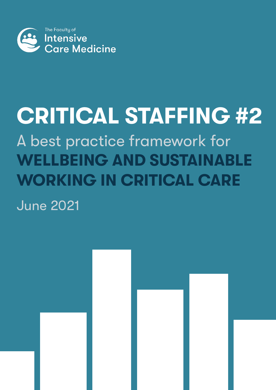

# **CRITICAL STAFFING #2** A best practice framework for **WELLBEING AND SUSTAINABLE WORKING IN CRITICAL CARE**

June 2021

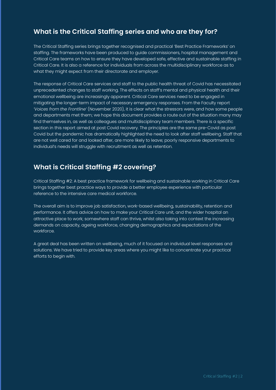# **What is the Critical Staffing series and who are they for?**

The Critical Staffing series brings together recognised and practical 'Best Practice Frameworks' on staffing. The frameworks have been produced to guide commissioners, hospital management and Critical Care teams on how to ensure they have developed safe, effective and sustainable staffing in Critical Care. It is also a reference for individuals from across the multidisciplinary workforce as to what they might expect from their directorate and employer.

The response of Critical Care services and staff to the public health threat of Covid has necessitated unprecedented changes to staff working. The effects on staff's mental and physical health and their emotional wellbeing are increasingly apparent. Critical Care services need to be engaged in mitigating the longer-term impact of necessary emergency responses. From the Faculty report *'Voices from the [Frontline'](https://www.ficm.ac.uk/sites/default/files/voices_from_the_frontline_of_critical_care_medicine.pdf)* (November 2020), it is clear what the stressors were, and how some people and departments met them; we hope this document provides a route out of the situation many may find themselves in, as well as colleagues and multidisciplinary team members. There is a specific section in this report aimed at post Covid recovery. The principles are the same pre-Covid as post Covid but the pandemic has dramatically highlighted the need to look after staff wellbeing. Staff that are not well cared for and looked after, are more likely to leave; poorly responsive departments to individual's needs will struggle with recruitment as well as retention.

# **What is Critical Staffing #2 covering?**

Critical Staffing #2: A best practice framework for wellbeing and sustainable working in Critical Care brings together best practice ways to provide a better employee experience with particular reference to the intensive care medical workforce.

The overall aim is to improve job satisfaction, work-based wellbeing, sustainability, retention and performance. It offers advice on how to make your Critical Care unit, and the wider hospital an attractive place to work; somewhere staff can thrive, whilst also taking into context the increasing demands on capacity, ageing workforce, changing demographics and expectations of the workforce.

A great deal has been written on wellbeing, much of it focused on individual level responses and solutions. We have tried to provide key areas where you might like to concentrate your practical efforts to begin with.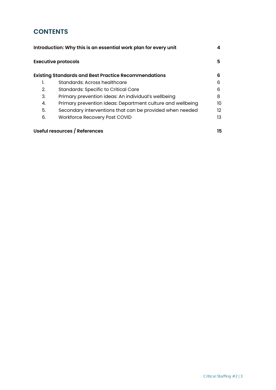## **CONTENTS**

| Introduction: Why this is an essential work plan for every unit |                                                             |     |  |
|-----------------------------------------------------------------|-------------------------------------------------------------|-----|--|
| <b>Executive protocols</b>                                      |                                                             |     |  |
|                                                                 | <b>Existing Standards and Best Practice Recommendations</b> | 6   |  |
|                                                                 | Standards: Across healthcare                                | 6   |  |
| 2.                                                              | <b>Standards: Specific to Critical Care</b>                 | 6   |  |
| 3.                                                              | Primary prevention ideas: An individual's wellbeing         | 8   |  |
| 4.                                                              | Primary prevention ideas: Department culture and wellbeing  | 10  |  |
| 5.                                                              | Secondary interventions that can be provided when needed    | 12. |  |
| 6.                                                              | Workforce Recovery Post COVID                               | 13  |  |
| Useful resources / References                                   |                                                             |     |  |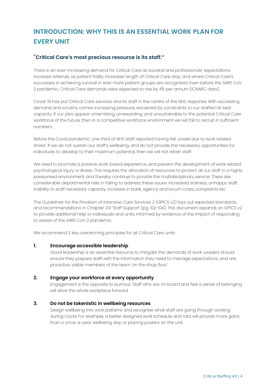# <span id="page-3-0"></span>**INTRODUCTION: WHY THIS IS AN ESSENTIAL WORK PLAN FOR EVERY UNIT**

## "**Critical Care's most precious resource is its staff."**

There is an ever-increasing demand for Critical Care as societal and professionals' expectations increase referrals, as patient frailty increases length of Critical Care stay, and where Critical Care's successes in achieving survival in ever more patient groups are recognised. Even before the SARS CoV 2 pandemic, Critical Care demands were expected to rise by 4% per annum (ICNARC data).

Covid-19 has put Critical Care services and its staff in the centre of the NHS response. With escalating demand and scrutiny comes increasing pressure, worsened by constraints to our staffed UK bed capacity. If our jobs appear unremitting, unrewarding, and unsustainable to the potential Critical Care workforce of the future, then in a competitive workforce environment we will fail to recruit in sufficient numbers.

Before the Covid pandemic, one third of NHS staff reported having felt unwell due to work related stress[i](https://www.nhsemployers.org/retention-and-staff-experience/health-and-wellbeing/taking-a-targeted-approach/taking-a-targeted-approach/stress-and-its-impact-on-the-workplace) . If we do not sustain our staff's wellbeing, and do not provide the necessary opportunities for individuals to develop to their maximum potential, then we will not retain staff.

We need to promote a positive work-based experience, and prevent the development of work related psychological injury or illness. This requires the allocation of resources to protect all our staff in a highly pressurised environment, and thereby continue to provide the multidisciplinary service. There are considerable departmental risks in failing to address these issues: increased sickness, unhappy staff, inability to staff necessary capacity, increase in bank, agency and locum costs, complaints etc.

The *[Guidelines](https://www.ficm.ac.uk/sites/default/files/gpics-v2.pdf) for the Provision of Intensive Care Services 2* (GPICS v2) lays out expected standards, and recommendations in Chapter 3.9 'Staff Support' (pg. 102-104). This document expands on GPICS v2 to provide additional help to individuals and units, informed by evidence of the impact of responding to waves of the SARS CoV 2 pandemic.

We recommend 3 key overarching principles for all Critical Care units:

#### **1. Encourage accessible leadership**

Good leadership is an essential resource to mitigate the demands of work. Leaders should ensure they prepare staff with the information they need to manage expectations, and are proactive, visible members of the team 'on the shop floor'.

#### **2. Engage your workforce at every opportunity**

Engagement is the opposite to burnout. Staff who are on board and feel a sense of belonging will drive the whole workplace forward.

#### **3. Do not be tokenistic in wellbeing resources**

Design wellbeing into work patterns and recognise what staff are going through working during Covid. For example, a better designed work schedule and rota will provide more gains than a once-a-year wellbeing day, or placing posters on the unit.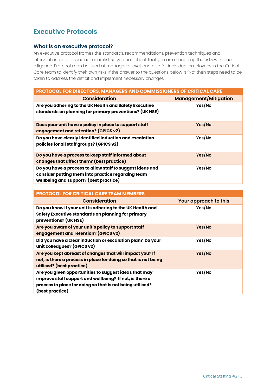# <span id="page-4-0"></span>**Executive Protocols**

#### **What is an executive protocol?**

An executive protocol frames the standards, recommendations, prevention techniques and interventions into a succinct checklist so you can check that you are managing the risks with due diligence. Protocols can be used at managerial level, and also for individual employees in the Critical Care team to identify their own risks. If the answer to the questions below is "No" then steps need to be taken to address the deficit and implement necessary changes.

| <b>PROTOCOL FOR DIRECTORS, MANAGERS AND COMMISSIONERS OF CRITICAL CARE</b>                                                                                |                              |  |
|-----------------------------------------------------------------------------------------------------------------------------------------------------------|------------------------------|--|
| <b>Consideration</b>                                                                                                                                      | <b>Management/Mitigation</b> |  |
| Are you adhering to the UK Health and Safety Executive<br>standards on planning for primary preventions? (UK HSE)                                         | Yes/No                       |  |
| Does your unit have a policy in place to support staff<br>engagement and retention? (GPICS v2)                                                            | Yes/No                       |  |
| Do you have clearly identified induction and escalation<br>policies for all staff groups? (GPICS v2)                                                      | Yes/No                       |  |
| Do you have a process to keep staff informed about<br>changes that affect them? (best practice)                                                           | Yes/No                       |  |
| Do you have a process to allow staff to suggest ideas and<br>consider putting them into practice regarding team<br>wellbeing and support? (best practice) | Yes/No                       |  |

| <b>PROTOCOL FOR CRITICAL CARE TEAM MEMBERS</b>                                                                                                                                                   |                       |
|--------------------------------------------------------------------------------------------------------------------------------------------------------------------------------------------------|-----------------------|
| <b>Consideration</b>                                                                                                                                                                             | Your approach to this |
| Do you know if your unit is adhering to the UK Health and<br>Safety Executive standards on planning for primary<br>preventions? (UK HSE)                                                         | Yes/No                |
| Are you aware of your unit's policy to support staff<br>engagement and retention? (GPICS v2)                                                                                                     | Yes/No                |
| Did you have a clear induction or escalation plan? Do your<br>unit colleagues? (GPICS v2)                                                                                                        | Yes/No                |
| Are you kept abreast of changes that will impact you? If<br>not, is there a process in place for doing so that is not being<br>utilised? (best practice)                                         | Yes/No                |
| Are you given opportunities to suggest ideas that may<br>improve staff support and wellbeing? If not, is there a<br>process in place for doing so that is not being utilised?<br>(best practice) | Yes/No                |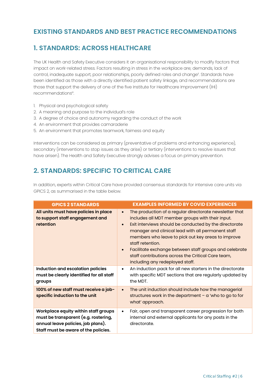## <span id="page-5-0"></span>**EXISTING STANDARDS AND BEST PRACTICE RECOMMENDATIONS**

## **1. STANDARDS: ACROSS HEALTHCARE**

The UK Health and Safety Executive considers it an organisational responsibility to modify factors that impact on work-related stress. Factors resulting in stress in the workplace are; demands, lack of control, inadequate support, poor relationships, poorly defined roles and change[ii](https://www.hse.gov.uk/stress/standards/) . Standards have been identified as those with a directly identified patient safety linkage, and recommendations are those that support the delivery of one of the five Institute for Healthcare Improvement (IHI) recommendation[siii.](http://www.ihi.org/resources/Pages/IHIWhitePapers/LeadershipGuidetoPatientSafetyWhitePaper.aspx)

- 1. Physical and psychological safety
- 2. A meaning and purpose to the individual's role
- 3. A degree of choice and autonomy regarding the conduct of the work
- 4. An environment that provides camaraderie
- 5. An environment that promotes teamwork, fairness and equity

Interventions can be considered as primary (preventative of problems and enhancing experience), secondary (interventions to stop issues as they arise) or tertiary (interventions to resolve issues that have arisen). The Health and Safety Executive strongly advises a focus on primary prevention.

# **2. STANDARDS: SPECIFIC TO CRITICAL CARE**

In addition, experts within Critical Care have provided consensus standards for intensive care units via GPICS 2, as summarised in the table below.

| <b>GPICS 2 STANDARDS</b>                                                                                                                                   | <b>EXAMPLES INFORMED BY COVID EXPERIENCES</b>                                                                                                                                                                                                                                                                                                                                                                                                                                                   |
|------------------------------------------------------------------------------------------------------------------------------------------------------------|-------------------------------------------------------------------------------------------------------------------------------------------------------------------------------------------------------------------------------------------------------------------------------------------------------------------------------------------------------------------------------------------------------------------------------------------------------------------------------------------------|
| All units must have policies in place<br>to support staff engagement and<br>retention                                                                      | The production of a regular directorate newsletter that<br>$\bullet$<br>includes all MDT member groups with their input.<br>Exit interviews should be conducted by the directorate<br>$\bullet$<br>manager and clinical lead with all permanent staff<br>members who leave to pick out key areas to improve<br>staff retention.<br>Facilitate exchange between staff groups and celebrate<br>$\bullet$<br>staff contributions across the Critical Care team,<br>including any redeployed staff. |
| Induction and escalation policies<br>must be clearly identified for all staff<br>groups                                                                    | An induction pack for all new starters in the directorate<br>$\bullet$<br>with specific MDT sections that are regularly updated by<br>the MDT.                                                                                                                                                                                                                                                                                                                                                  |
| 100% of new staff must receive a job-<br>specific induction to the unit                                                                                    | The unit induction should include how the managerial<br>$\bullet$<br>structures work in the department $-$ a 'who to go to for<br>what' approach.                                                                                                                                                                                                                                                                                                                                               |
| Workplace equity within staff groups<br>must be transparent (e.g. rostering,<br>annual leave policies, job plans).<br>Staff must be aware of the policies. | Fair, open and transparent career progression for both<br>$\bullet$<br>internal and external applicants for any posts in the<br>directorate.                                                                                                                                                                                                                                                                                                                                                    |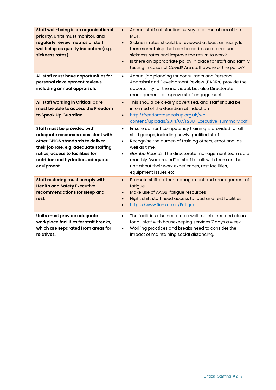| Staff well-being is an organisational<br>priority. Units must monitor, and<br>regularly review metrics of staff<br>wellbeing as quality indicators (e.g.<br>sickness rates).                                                           | Annual staff satisfaction survey to all members of the<br>$\bullet$<br>MDT.<br>Sickness rates should be reviewed at least annually. Is<br>$\bullet$<br>there something that can be addressed to reduce<br>sickness rates and improve the return to work?<br>Is there an appropriate policy in place for staff and family<br>$\bullet$<br>testing in cases of Covid? Are staff aware of the policy?                         |
|----------------------------------------------------------------------------------------------------------------------------------------------------------------------------------------------------------------------------------------|----------------------------------------------------------------------------------------------------------------------------------------------------------------------------------------------------------------------------------------------------------------------------------------------------------------------------------------------------------------------------------------------------------------------------|
| All staff must have opportunities for<br>personal development reviews<br>including annual appraisals                                                                                                                                   | Annual job planning for consultants and Personal<br>$\bullet$<br>Appraisal and Development Review (PADRs) provide the<br>opportunity for the individual, but also Directorate<br>management to improve staff engagement                                                                                                                                                                                                    |
| All staff working in Critical Care<br>must be able to access the Freedom<br>to Speak Up Guardian.                                                                                                                                      | This should be clearly advertised, and staff should be<br>$\bullet$<br>informed of the Guardian at induction<br>http://freedomtospeakup.org.uk/wp-<br>$\bullet$<br>content/uploads/2014/07/F2SU_Executive-summary.pdf                                                                                                                                                                                                      |
| Staff must be provided with<br>adequate resources consistent with<br>other GPICS standards to deliver<br>their job role, e.g. adequate staffing<br>ratios, access to facilities for<br>nutrition and hydration, adequate<br>equipment. | Ensure up front competency training is provided for all<br>$\bullet$<br>staff groups, including newly qualified staff.<br>Recognise the burden of training others, emotional as<br>$\bullet$<br>well as time.<br>Gemba Rounds. The directorate management team do a<br>$\bullet$<br>monthly "ward round" of staff to talk with them on the<br>unit about their work experiences, rest facilities,<br>equipment issues etc. |
| Staff rostering must comply with<br><b>Health and Safety Executive</b><br>recommendations for sleep and<br>rest.                                                                                                                       | Promote shift pattern management and management of<br>$\bullet$<br>fatigue<br>Make use of AAGBI fatigue resources<br>$\bullet$<br>Night shift staff need access to food and rest facilities<br>$\bullet$<br>https://www.ficm.ac.uk/Fatigue<br>$\bullet$                                                                                                                                                                    |
| Units must provide adequate<br>workplace facilities for staff breaks,<br>which are separated from areas for<br>relatives.                                                                                                              | The facilities also need to be well maintained and clean<br>$\bullet$<br>for all staff with housekeeping services 7 days a week.<br>Working practices and breaks need to consider the<br>$\bullet$<br>impact of maintaining social distancing.                                                                                                                                                                             |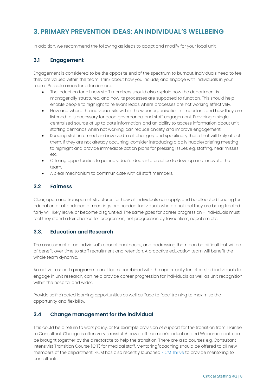## <span id="page-7-0"></span>**3. PRIMARY PREVENTION IDEAS: AN INDIVIDUAL'S WELLBEING**

In addition, we recommend the following as ideas to adapt and modify for your local unit.

## **3.1 Engagement**

Engagement is considered to be the opposite end of the spectrum to burnout. Individuals need to feel they are valued within the team. Think about how you include, and engage with individuals in your team. Possible areas for attention are:

- The induction for all new staff members should also explain how the department is managerially structured, and how its processes are supposed to function. This should help enable people to highlight to relevant leads where processes are not working effectively.
- How and where the individual sits within the wider organisation is important, and how they are listened to is necessary for good governance, and staff engagement. Providing a single centralised source of up to date information, and an ability to access information about unit staffing demands when not working, can reduce anxiety and improve engagement.
- Keeping staff informed and involved in all changes, and specifically those that will likely affect them. If they are not already occurring, consider introducing a daily huddle/briefing meeting to highlight and provide immediate action plans for pressing issues e.g. staffing, near misses etc.
- Offering opportunities to put individual's ideas into practice to develop and innovate the team.
- A clear mechanism to communicate with all staff members.

#### **3.2 Fairness**

Clear, open and transparent structures for how all individuals can apply, and be allocated funding for education or attendance at meetings are needed. Individuals who do not feel they are being treated fairly will likely leave, or become disgruntled. The same goes for career progression – individuals must feel they stand a fair chance for progression; not progression by favouritism, nepotism etc.

#### **3.3. Education and Research**

The assessment of an individual's educational needs, and addressing them can be difficult but will be of benefit over time to staff recruitment and retention. A proactive education team will benefit the whole team dynamic.

An active research programme and team, combined with the opportunity for interested individuals to engage in unit research, can help provide career progression for individuals as well as unit recognition within the hospital and wider.

Provide self-directed learning opportunities as well as 'face to face' training to maximise the opportunity and flexibility.

## **3.4 Change management for the individual**

This could be a return to work policy, or for example provision of support for the transition from Trainee to Consultant. Change is often very stressful. A new staff member's Induction and Welcome pack can be brought together by the directorate to help the transition. There are also courses e.g. Consultant Intensivist Transition Course (CIT) for medical staff. Mentoring/coaching should be offered to all new members of the department. FICM has also recently launched FICM [Thrive](https://www.ficm.ac.uk/careers-recruitment-workforce/ficm-thrive) to provide mentoring to consultants.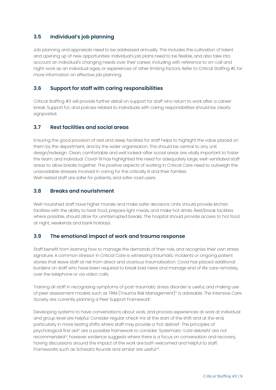## **3.5 Individual's job planning**

Job planning and appraisals need to be addressed annually. This includes the cultivation of talent and opening up of new opportunities. Individual's job plans need to be flexible, and also take into account an individual's changing needs over their career, including with reference to on-call and night-work as an individual ages, or experiences of other limiting factors. Refer to Critical Staffing #1, for more information on effective job planning.

#### **3.6 Support for staff with caring responsibilities**

Critical Staffing #3 will provide further detail on support for staff who return to work after a career break. Support for, and policies related to individuals with caring responsibilities should be clearly signposted.

#### **3.7 Rest facilities and social areas**

Ensuring the good provision of rest and sleep facilities for staff helps to highlight the value placed on them by the department, and by the wider organisation. This should be central to any unit design/redesign. Clean, comfortable and well looked-after social areas are vitally important to foster the team, and individual. Covid-19 has highlighted the need for adequately large, well-ventilated staff areas to allow breaks together. The positive aspects of working in Critical Care need to outweigh the unavoidable stresses involved in caring for the critically ill and their families. Well-rested staff are safer for patients, and safer road users.

#### **3.8 Breaks and nourishment**

Well-nourished staff have higher morale and make safer decisions. Units should provide kitchen facilities with the ability to heat food, prepare light meals, and make hot drinks. Rest/break facilities where possible, should allow for uninterrupted breaks. The hospital should provide access to hot food at night, weekends and bank holidays.

#### **3.9 The emotional impact of work and trauma response**

Staff benefit from learning how to manage the demands of their role, and recognise their own stress signature. A common stressor in Critical Care is witnessing traumatic incidents or ongoing patient stories that leave staff at risk from direct and vicarious traumatisation. Covid has placed additional burdens on staff who have been required to break bad news and manage end of life care remotely, over the telephone or via video-calls.

Training all staff in recognising symptoms of post-traumatic stress disorder is useful, and making use of peer assessment models such as TRIM (Trauma Risk Management)<sup>[iv](https://www.marchonstress.com)</sup> is advisable. The Intensive Care Society are currently planning a Peer Support Framework<sup>y</sup>. .

Developing systems to have conversations about work, and process experiences at work at individual and group level are helpful. Consider regular check-ins at the start of the shift and at the end, particularly in more testing shifts where staff may provide a 'hot debrief'. The principles of psychological first ai[dvi](https://www.who.int/publications/i/item/9789241548205) are a possible framework to consider. Systematic 'cold debriefs' are not recommended[vii,](https://www.nice.org.uk/guidance/ng116) however evidence suggests where there is a focus on conversation and recovery, having discussions around the impact of the work are both welcomed and helpful to staff. Frameworks such as Schwartz Rounds and similar are useful[viii.](https://www.pointofcarefoundation.org.uk/our-work/schwartz-rounds/)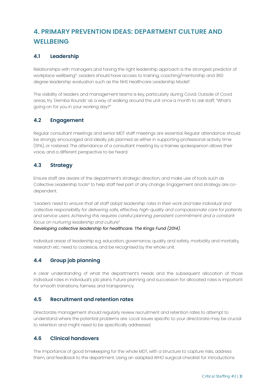# <span id="page-9-0"></span>**4. PRIMARY PREVENTION IDEAS: DEPARTMENT CULTURE AND WELLBEING**

## **4.1 Leadership**

Relationships with managers and having the right leadership approach is the strongest predictor of workplace wellbeing<sup>ix</sup>. Leaders should have access to training, coaching/mentorship and 360 degree leadership evaluation such as the NHS Healthcare Leadership Model<sup>x</sup>. .

The visibility of leaders and management teams is key, particularly during Covid. Outside of Covid areas, try *'Gemba Rounds'* as a way of walking around the unit once a month to ask staff, "What's going on for you in your working day?"

#### **4.2 Engagement**

Regular consultant meetings and senior MDT staff meetings are essential. Regular attendance should be strongly encouraged and ideally job planned as either in supporting professional activity time (SPA), or rostered. The attendance of a consultant meeting by a trainee spokesperson allows their voice, and a different perspective to be heard.

#### **4.3 Strategy**

Ensure staff are aware of the department's strategic direction, and make use of tools such as Collective Leadership tools<sup>xi</sup> to help staff feel part of any change. Engagement and strategy are codependent.

*"Leaders need to ensure that all staff adopt leadership roles in their work and take individual and collective responsibility for delivering safe, effective, high-quality and compassionate care for patients and service users. Achieving this requires careful planning, persistent commitment and a constant focus on nurturing leadership and culture".*

*Developing collective leadership for healthcare. The Kings Fund (2014).*

Individual areas of leadership e.g. education, governance, quality and safety, morbidity and mortality, research etc. need to coalesce, and be recognised by the whole unit.

## **4.4 Group job planning**

A clear understanding of what the department's needs and the subsequent allocation of those individual roles in individual's job plans. Future planning and succession for allocated roles is important for smooth transitions, fairness and transparency.

#### **4.5 Recruitment and retention rates**

Directorate management should regularly review recruitment and retention rates to attempt to understand where the potential problems are. Local issues specific to your directorate may be crucial to retention and might need to be specifically addressed.

#### **4.6 Clinical handovers**

The importance of good timekeeping for the whole MDT, with a structure to capture risks, address them, and feedback to the department. Using an adapted WHO surgical checklist for introductions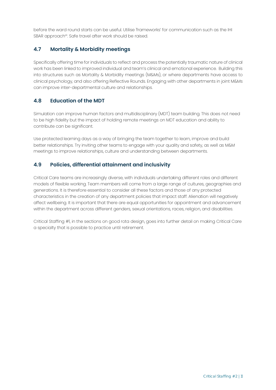before the ward round starts can be useful. Utilise 'frameworks' for communication such as the IHI SBAR approach<sup>xii</sup>. Safe travel after work should be raised.

## **4.7 Mortality & Morbidity meetings**

Specifically offering time for individuals to reflect and process the potentially traumatic nature of clinical work has been linked to improved individual and team's clinical and emotional experience. Building this into structures such as Mortality & Morbidity meetings (M&Ms), or where departments have access to clinical psychology, and also offering Reflective Rounds. Engaging with other departments in joint M&Ms can improve inter-departmental culture and relationships.

## **4.8 Education of the MDT**

Simulation can improve human factors and multidisciplinary (MDT) team building. This does not need to be high fidelity but the impact of holding remote meetings on MDT education and ability to contribute can be significant.

Use protected learning days as a way of bringing the team together to learn, improve and build better relationships. Try inviting other teams to engage with your quality and safety, as well as M&M meetings to improve relationships, culture and understanding between departments.

## **4.9 Policies, differential attainment and inclusivity**

Critical Care teams are increasingly diverse, with individuals undertaking different roles and different models of flexible working. Team members will come from a large range of cultures, geographies and generations. It is therefore essential to consider all these factors and those of any protected characteristics in the creation of any department policies that impact staff. Alienation will negatively affect wellbeing. It is important that there are equal opportunities for appointment and advancement within the department across different genders, sexual orientations, races, religion, and disabilities.

Critical Staffing #1, in the sections on good rota design, goes into further detail on making Critical Care a specialty that is possible to practice until retirement.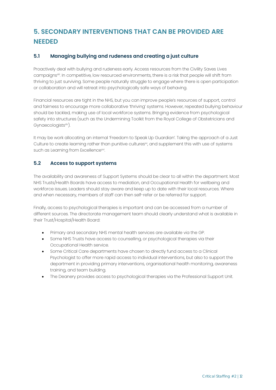# <span id="page-11-0"></span>**5. SECONDARY INTERVENTIONS THAT CAN BE PROVIDED ARE NEEDED**

## **5.1 Managing bullying and rudeness and creating a just culture**

Proactively deal with bullying and rudeness early. Access resources from the Civility Saves Lives campaign[sxiii.](https://www.civilitysaveslives.com) In competitive, low resourced environments, there is a risk that people will shift from thriving to just surviving. Some people naturally struggle to engage where there is open participation or collaboration and will retreat into psychologically safe ways of behaving.

Financial resources are tight in the NHS, but you can improve people's resources of support, control and fairness to encourage more collaborative 'thriving' systems. However, repeated bullying behaviour should be tackled, making use of local workforce systems. Bringing evidence from psychological safety into structures (such as the Undermining Toolkit from the Royal College of Obstetricians and Gynaecologists<sup>xiv</sup>).

It may be work allocating an internal 'Freedom to Speak Up Guardian'. Taking the approach of a Just Culture to create learning rather than punitive cultures<sup>x</sup>, and supplement this with use of systems such as Learning from Excellence<sup>xvi</sup>.

#### **5.2 Access to support systems**

The availability and awareness of Support Systems should be clear to all within the department. Most NHS Trusts/Health Boards have access to mediation, and Occupational Health for wellbeing and workforce issues. Leaders should stay aware and keep up to date with their local resources. Where and when necessary, members of staff can then self-refer or be referred for support.

Finally, access to psychological therapies is important and can be accessed from a number of different sources. The directorate management team should clearly understand what is available in their Trust/Hospital/Health Board:

- Primary and secondary NHS mental health services are available via the GP.
- Some NHS Trusts have access to counselling, or psychological therapies via their Occupational Health service.
- Some Critical Care departments have chosen to directly fund access to a Clinical Psychologist to offer more rapid access to individual interventions, but also to support the department in providing primary interventions, organisational health monitoring, awareness training, and team building.
- The Deanery provides access to psychological therapies via the Professional Support Unit.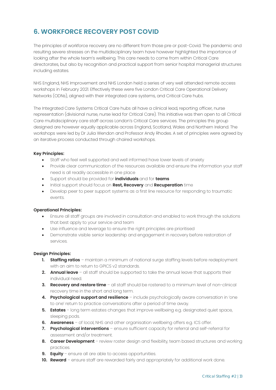# <span id="page-12-0"></span>**6. WORKFORCE RECOVERY POST COVID**

The principles of workforce recovery are no different from those pre or post-Covid. The pandemic and resulting severe stresses on the multidisciplinary team have however highlighted the importance of looking after the whole team's wellbeing. This care needs to come from within Critical Care directorates, but also by recognition and practical support from senior hospital managerial structures including estates.

NHS England, NHS Improvement and NHS London held a series of very well attended remote access workshops in February 2021. Effectively these were five London Critical Care Operational Delivery Networks (ODNs), aligned with their integrated care systems, and Critical Care hubs.

The Integrated Care Systems Critical Care hubs all have a clinical lead, reporting officer, nurse representation (divisional nurse, nurse lead for Critical Care). This initiative was then open to all Critical Care multidisciplinary care staff across London's Critical Care services. The principles this group designed are however equally applicable across England, Scotland, Wales and Northern Ireland. The workshops were led by Dr Julia Wendon and Professor Andy Rhodes. A set of principles were agreed by an iterative process conducted through chaired workshops.

#### **Key Principles:**

- Staff who feel well supported and well informed have lower levels of anxiety
- Provide clear communication of the resources available and ensure the information your staff need is all readily accessible in one place
- Support should be provided for **individuals** and for **teams**
- Initial support should focus on **Rest, Recovery** and **Recuperation** time
- Develop peer to peer support systems as a first line resource for responding to traumatic events.

#### **Operational Principles:**

- Ensure all staff groups are involved in consultation and enabled to work through the solutions that best apply to your service and team
- Use influence and leverage to ensure the right principles are prioritised
- Demonstrate visible senior leadership and engagement in recovery before restoration of services.

#### **Design Principles:**

- **1. Staffing ratios** maintain a minimum of national surge staffing levels before redeployment with an aim to return to GPICS v2 standards.
- **2. Annual leave** all staff should be supported to take the annual leave that supports their individual need.
- **3. Recovery and restore time** all staff should be rostered to a minimum level of non-clinical recovery time in the short and long term.
- **4. Psychological support and resilience** include psychologically aware conversation in 'one to one' return to practice conversations after a period of time away.
- **5. Estates** long term estates changes that improve wellbeing e.g. designated quiet space, sleeping pods.
- **6. Awareness** of local, NHS and other organisation wellbeing offers e.g. ICS offer.
- **7. Psychological interventions** ensure sufficient capacity for referral and self-referral for assessment and/or treatment.
- **8. Career Development** review roster design and flexibility, team based structures and working practices.
- **9. Equity** ensure all are able to access opportunities.
- **10. Reward** ensure staff are rewarded fairly and appropriately for additional work done.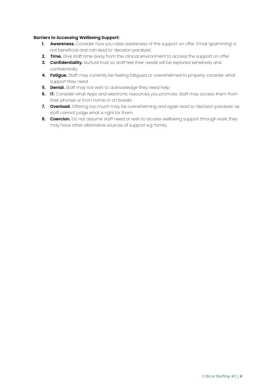#### **Barriers to Accessing Wellbeing Support:**

- **1. Awareness.** Consider how you raise awareness of the support on offer. Email 'spamming' is not beneficial and can lead to 'decision paralysis'.
- **2. Time.** Give staff time away from the clinical environment to access the support on offer
- **3. Confidentiality.** Nurture trust so staff feel their needs will be explored sensitively and confidentially.
- **4. Fatigue.** Staff may currently be feeling fatigued or overwhelmed to properly consider what support they need.
- **5. Denial.** Staff may not wish to acknowledge they need help.
- **6. IT.** Consider what Apps and electronic resources you promote. Staff may access them from their phones or from home or on breaks.
- **7. Overload.** Offering too much may be overwhelming and again lead to 'decision paralysis' as staff cannot judge what is right for them.
- **8. Coercion.** Do not assume staff need or wish to access wellbeing support through work, they may have other alternative sources of support e.g. family.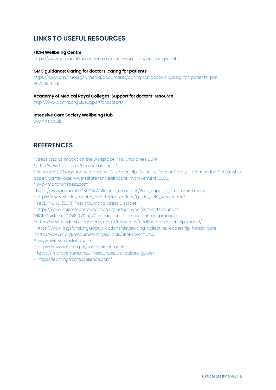## <span id="page-14-0"></span>**LINKS TO USEFUL RESOURCES**

#### **FICM Wellbeing Centre**

<https://www.ficm.ac.uk/careers-recruitment-workforce/wellbeing-centre>

#### **GMC guidance: Caring for doctors, caring for patients**

[https://www.gmc-uk.org/-/media/documents/caring-for-doctors-caring-for-patients\\_pdf-](https://www.gmc-uk.org/-/media/documents/caring-for-doctors-caring-for-patients_pdf-80706341.pdf)80706341.pdf

#### **Academy of Medical Royal Colleges 'Support for doctors' resource**

<http://www.aomrc.org.uk/supportfordoctors/>

#### **Intensive Care Society Wellbeing Hub**

[www.ics.ac.uk](https://www.ics.ac.uk)

## **REFERENCES**

<sup>i</sup> Stress and its impact on the [workplace.](https://www.nhsemployers.org/retention-and-staff-experience/health-and-wellbeing/taking-a-targeted-approach/taking-a-targeted-approach/stress-and-its-impact-on-the-workplace) NHS Employers, 2019.

ii [http://www.hse.gov.uk/stress/standards/](https://www.hse.gov.uk/stress/standards/)

iii Botwinick L, Bisognano M, Haraden C. Leadership Guide to Patient Safety. IHI Innovation Series white paper. Cambridge, MA: Institute for Healthcare [Improvement;](http://www.ihi.org/resources/Pages/IHIWhitePapers/LeadershipGuidetoPatientSafetyWhitePaper.aspx) 2006.

iv [www.marchonstress.com](https://www.marchonstress.com)

<sup>v</sup> [https://www.ics.ac.uk/ICS/ICS/Wellbeing\\_resources/Peer\\_support\\_programme.aspx](https://www.ics.ac.uk/ICS/ICS/Wellbeing_resources/Peer_support_programme.aspx)

vi [https://www.who.int/mental\\_health/publications/guide\\_field\\_workers/en/](https://www.who.int/publications/i/item/9789241548205)

vii NICE [NG116] (2018) Post [Traumatic](https://www.nice.org.uk/guidance/ng116) Stress Disorder

[viiihttps://www.pointofcarefoundation.org.uk/our-work/schwartz-rounds/](https://www.pointofcarefoundation.org.uk/our-work/schwartz-rounds/)

ixNICE Guideline [NG13] (2015) Workplace health: [management](https://www.nice.org.uk/guidance/ng13) practices

- <sup>x</sup> <https://www.leadershipacademy.nhs.uk/resources/healthcare-leadership-model/>
- xi <https://www.kingsfund.org.uk/publications/developing-collective-leadership-health-care>
- xii <http://www.ihi.org/resources/Pages/Tools/SBARToolkit.aspx>
- xiii [www.civilitysaveslives.com](https://www.civilitysaveslives.com)
- xiv <https://www.rcog.org.uk/underminingtoolkit>
- xv [https://improvement.nhs.uk/resources/just-culture-guide/](https://www.england.nhs.uk)
- xvi [https://learningfromexcellence.com/](https://learningfromexcellence.com)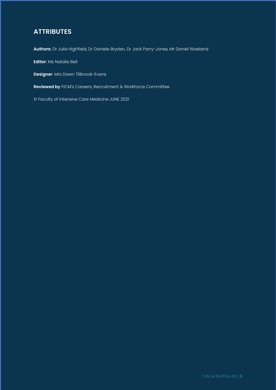# **ATTRIBUTES**

**Authors:** Dr Julie Highfield, Dr Daniele Bryden, Dr Jack Parry-Jones, Mr Daniel Waeland

**Editor:** Ms Natalie Bell

**Designer**: Mrs Dawn Tillbrook-Evans

**Reviewed by** FICM's Careers, Recruitment & Workforce Committee

© Faculty of Intensive Care Medicine JUNE 2021